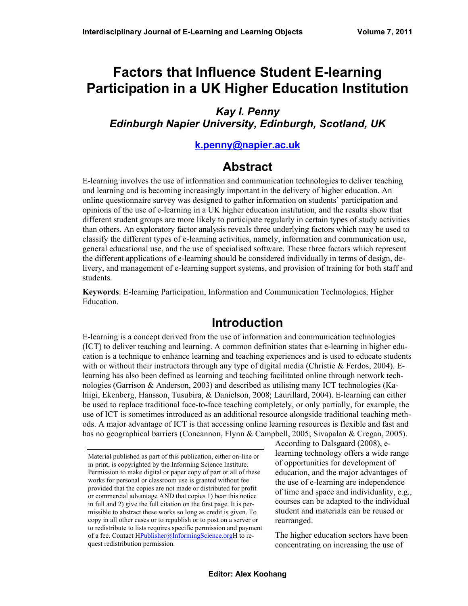# **Factors that Influence Student E-learning Participation in a UK Higher Education Institution**

#### *Kay I. Penny Edinburgh Napier University, Edinburgh, Scotland, UK*

#### **[k.penny@napier.ac.uk](mailto:k.penny@napier.ac.uk)**

# **Abstract**

E-learning involves the use of information and communication technologies to deliver teaching and learning and is becoming increasingly important in the delivery of higher education. An online questionnaire survey was designed to gather information on students' participation and opinions of the use of e-learning in a UK higher education institution, and the results show that different student groups are more likely to participate regularly in certain types of study activities than others. An exploratory factor analysis reveals three underlying factors which may be used to classify the different types of e-learning activities, namely, information and communication use, general educational use, and the use of specialised software. These three factors which represent the different applications of e-learning should be considered individually in terms of design, delivery, and management of e-learning support systems, and provision of training for both staff and students.

**Keywords**: E-learning Participation, Information and Communication Technologies, Higher Education.

# **Introduction**

E-learning is a concept derived from the use of information and communication technologies (ICT) to deliver teaching and learning. A common definition states that e-learning in higher education is a technique to enhance learning and teaching experiences and is used to educate students with or without their instructors through any type of digital media (Christie  $&$  Ferdos, 2004). Elearning has also been defined as learning and teaching facilitated online through network technologies (Garrison & Anderson, 2003) and described as utilising many ICT technologies (Kahiigi, Ekenberg, Hansson, Tusubira, & Danielson, 2008; Laurillard, 2004). E-learning can either be used to replace traditional face-to-face teaching completely, or only partially, for example, the use of ICT is sometimes introduced as an additional resource alongside traditional teaching methods. A major advantage of ICT is that accessing online learning resources is flexible and fast and has no geographical barriers (Concannon, Flynn & Campbell, 2005; Sivapalan & Cregan, 2005).

According to Dalsgaard (2008), elearning technology offers a wide range of opportunities for development of education, and the major advantages of the use of e-learning are independence of time and space and individuality, e.g., courses can be adapted to the individual student and materials can be reused or rearranged.

The higher education sectors have been concentrating on increasing the use of.

Material published as part of this publication, either on-line or in print, is copyrighted by the Informing Science Institute. Permission to make digital or paper copy of part or all of these works for personal or classroom use is granted without fee provided that the copies are not made or distributed for profit or commercial advantage AND that copies 1) bear this notice in full and 2) give the full citation on the first page. It is permissible to abstract these works so long as credit is given. To copy in all other cases or to republish or to post on a server or to redistribute to lists requires specific permission and payment of a fee. Contact HPublisher@InformingScience.orgH to request redistribution permission.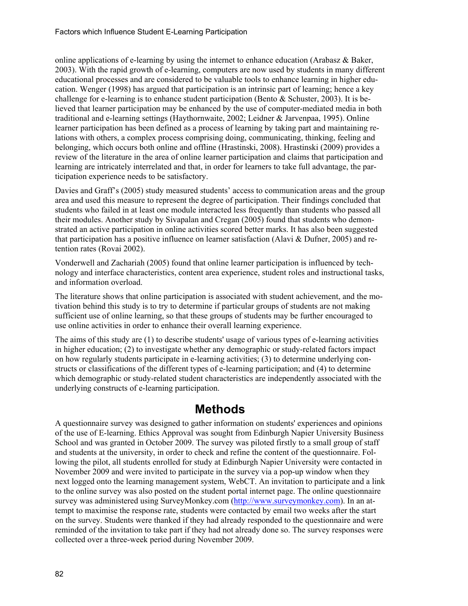online applications of e-learning by using the internet to enhance education (Arabasz & Baker, 2003). With the rapid growth of e-learning, computers are now used by students in many different educational processes and are considered to be valuable tools to enhance learning in higher education. Wenger (1998) has argued that participation is an intrinsic part of learning; hence a key challenge for e-learning is to enhance student participation (Bento  $\&$  Schuster, 2003). It is believed that learner participation may be enhanced by the use of computer-mediated media in both traditional and e-learning settings (Haythornwaite, 2002; Leidner & Jarvenpaa, 1995). Online learner participation has been defined as a process of learning by taking part and maintaining relations with others, a complex process comprising doing, communicating, thinking, feeling and belonging, which occurs both online and offline (Hrastinski, 2008). Hrastinski (2009) provides a review of the literature in the area of online learner participation and claims that participation and learning are intricately interrelated and that, in order for learners to take full advantage, the participation experience needs to be satisfactory.

Davies and Graff's (2005) study measured students' access to communication areas and the group area and used this measure to represent the degree of participation. Their findings concluded that students who failed in at least one module interacted less frequently than students who passed all their modules. Another study by Sivapalan and Cregan (2005) found that students who demonstrated an active participation in online activities scored better marks. It has also been suggested that participation has a positive influence on learner satisfaction (Alavi & Dufner, 2005) and retention rates (Rovai 2002).

Vonderwell and Zachariah (2005) found that online learner participation is influenced by technology and interface characteristics, content area experience, student roles and instructional tasks, and information overload.

The literature shows that online participation is associated with student achievement, and the motivation behind this study is to try to determine if particular groups of students are not making sufficient use of online learning, so that these groups of students may be further encouraged to use online activities in order to enhance their overall learning experience.

The aims of this study are (1) to describe students' usage of various types of e-learning activities in higher education; (2) to investigate whether any demographic or study-related factors impact on how regularly students participate in e-learning activities; (3) to determine underlying constructs or classifications of the different types of e-learning participation; and (4) to determine which demographic or study-related student characteristics are independently associated with the underlying constructs of e-learning participation.

# **Methods**

A questionnaire survey was designed to gather information on students' experiences and opinions of the use of E-learning. Ethics Approval was sought from Edinburgh Napier University Business School and was granted in October 2009. The survey was piloted firstly to a small group of staff and students at the university, in order to check and refine the content of the questionnaire. Following the pilot, all students enrolled for study at Edinburgh Napier University were contacted in November 2009 and were invited to participate in the survey via a pop-up window when they next logged onto the learning management system, WebCT. An invitation to participate and a link to the online survey was also posted on the student portal internet page. The online questionnaire survey was administered using SurveyMonkey.com [\(http://www.surveymonkey.com](http://www.surveymonkey.com/)). In an attempt to maximise the response rate, students were contacted by email two weeks after the start on the survey. Students were thanked if they had already responded to the questionnaire and were reminded of the invitation to take part if they had not already done so. The survey responses were collected over a three-week period during November 2009.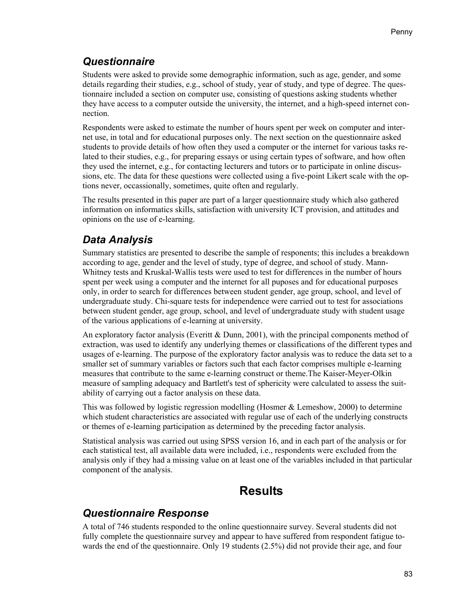### *Questionnaire*

Students were asked to provide some demographic information, such as age, gender, and some details regarding their studies, e.g., school of study, year of study, and type of degree. The questionnaire included a section on computer use, consisting of questions asking students whether they have access to a computer outside the university, the internet, and a high-speed internet connection.

Respondents were asked to estimate the number of hours spent per week on computer and internet use, in total and for educational purposes only. The next section on the questionnaire asked students to provide details of how often they used a computer or the internet for various tasks related to their studies, e.g., for preparing essays or using certain types of software, and how often they used the internet, e.g., for contacting lecturers and tutors or to participate in online discussions, etc. The data for these questions were collected using a five-point Likert scale with the options never, occassionally, sometimes, quite often and regularly.

The results presented in this paper are part of a larger questionnaire study which also gathered information on informatics skills, satisfaction with university ICT provision, and attitudes and opinions on the use of e-learning.

# *Data Analysis*

Summary statistics are presented to describe the sample of responents; this includes a breakdown according to age, gender and the level of study, type of degree, and school of study. Mann-Whitney tests and Kruskal-Wallis tests were used to test for differences in the number of hours spent per week using a computer and the internet for all puposes and for educational purposes only, in order to search for differences between student gender, age group, school, and level of undergraduate study. Chi-square tests for independence were carried out to test for associations between student gender, age group, school, and level of undergraduate study with student usage of the various applications of e-learning at university.

An exploratory factor analysis (Everitt  $\&$  Dunn, 2001), with the principal components method of extraction, was used to identify any underlying themes or classifications of the different types and usages of e-learning. The purpose of the exploratory factor analysis was to reduce the data set to a smaller set of summary variables or factors such that each factor comprises multiple e-learning measures that contribute to the same e-learning construct or theme.The Kaiser-Meyer-Olkin measure of sampling adequacy and Bartlett's test of sphericity were calculated to assess the suitability of carrying out a factor analysis on these data.

This was followed by logistic regression modelling (Hosmer & Lemeshow, 2000) to determine which student characteristics are associated with regular use of each of the underlying constructs or themes of e-learning participation as determined by the preceding factor analysis.

Statistical analysis was carried out using SPSS version 16, and in each part of the analysis or for each statistical test, all available data were included, i.e., respondents were excluded from the analysis only if they had a missing value on at least one of the variables included in that particular component of the analysis.

# **Results**

### *Questionnaire Response*

A total of 746 students responded to the online questionnaire survey. Several students did not fully complete the questionnaire survey and appear to have suffered from respondent fatigue towards the end of the questionnaire. Only 19 students (2.5%) did not provide their age, and four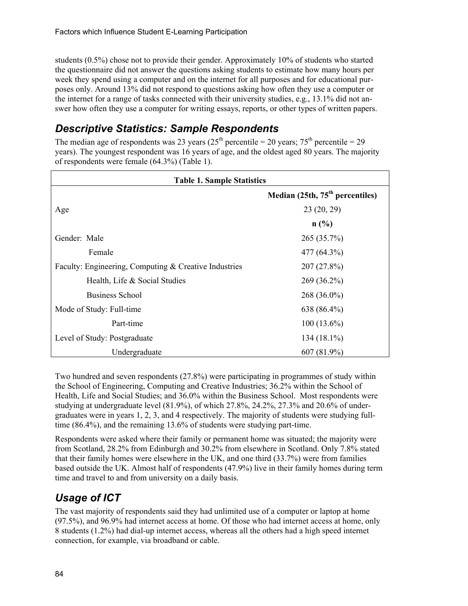students (0.5%) chose not to provide their gender. Approximately 10% of students who started the questionnaire did not answer the questions asking students to estimate how many hours per week they spend using a computer and on the internet for all purposes and for educational purposes only. Around 13% did not respond to questions asking how often they use a computer or the internet for a range of tasks connected with their university studies, e.g., 13.1% did not answer how often they use a computer for writing essays, reports, or other types of written papers.

#### *Descriptive Statistics: Sample Respondents*

The median age of respondents was 23 years ( $25<sup>th</sup>$  percentile = 20 years;  $75<sup>th</sup>$  percentile = 29 years). The youngest respondent was 16 years of age, and the oldest aged 80 years. The majority of respondents were female (64.3%) (Table 1).

| <b>Table 1. Sample Statistics</b>                     |                                             |  |  |  |  |
|-------------------------------------------------------|---------------------------------------------|--|--|--|--|
|                                                       | Median (25th, 75 <sup>th</sup> percentiles) |  |  |  |  |
| Age                                                   | 23(20, 29)                                  |  |  |  |  |
|                                                       | n(%)                                        |  |  |  |  |
| Gender: Male                                          | $265(35.7\%)$                               |  |  |  |  |
| Female                                                | 477 (64.3%)                                 |  |  |  |  |
| Faculty: Engineering, Computing & Creative Industries | $207(27.8\%)$                               |  |  |  |  |
| Health, Life & Social Studies                         | $269(36.2\%)$                               |  |  |  |  |
| <b>Business School</b>                                | $268(36.0\%)$                               |  |  |  |  |
| Mode of Study: Full-time                              | 638 (86.4%)                                 |  |  |  |  |
| Part-time                                             | $100(13.6\%)$                               |  |  |  |  |
| Level of Study: Postgraduate                          | $134(18.1\%)$                               |  |  |  |  |
| Undergraduate                                         | $607(81.9\%)$                               |  |  |  |  |

Two hundred and seven respondents (27.8%) were participating in programmes of study within the School of Engineering, Computing and Creative Industries; 36.2% within the School of Health, Life and Social Studies; and 36.0% within the Business School. Most respondents were studying at undergraduate level (81.9%), of which 27.8%, 24.2%, 27.3% and 20.6% of undergraduates were in years 1, 2, 3, and 4 respectively. The majority of students were studying fulltime (86.4%), and the remaining 13.6% of students were studying part-time.

Respondents were asked where their family or permanent home was situated; the majority were from Scotland, 28.2% from Edinburgh and 30.2% from elsewhere in Scotland. Only 7.8% stated that their family homes were elsewhere in the UK, and one third (33.7%) were from families based outside the UK. Almost half of respondents (47.9%) live in their family homes during term time and travel to and from university on a daily basis.

# *Usage of ICT*

The vast majority of respondents said they had unlimited use of a computer or laptop at home (97.5%), and 96.9% had internet access at home. Of those who had internet access at home, only 8 students (1.2%) had dial-up internet access, whereas all the others had a high speed internet connection, for example, via broadband or cable.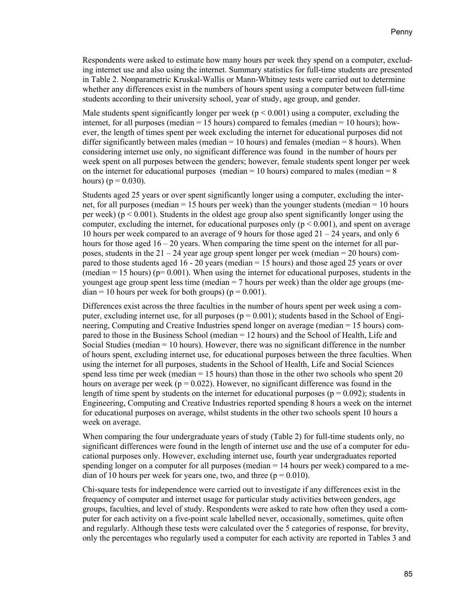Respondents were asked to estimate how many hours per week they spend on a computer, excluding internet use and also using the internet. Summary statistics for full-time students are presented in Table 2. Nonparametric Kruskal-Wallis or Mann-Whitney tests were carried out to determine whether any differences exist in the numbers of hours spent using a computer between full-time students according to their university school, year of study, age group, and gender.

Male students spent significantly longer per week ( $p < 0.001$ ) using a computer, excluding the internet, for all purposes (median = 15 hours) compared to females (median = 10 hours); however, the length of times spent per week excluding the internet for educational purposes did not differ significantly between males (median  $= 10$  hours) and females (median  $= 8$  hours). When considering internet use only, no significant difference was found in the number of hours per week spent on all purposes between the genders; however, female students spent longer per week on the internet for educational purposes (median =  $10$  hours) compared to males (median =  $8$ ) hours) ( $p = 0.030$ ).

Students aged 25 years or over spent significantly longer using a computer, excluding the internet, for all purposes (median  $= 15$  hours per week) than the younger students (median  $= 10$  hours per week) ( $p < 0.001$ ). Students in the oldest age group also spent significantly longer using the computer, excluding the internet, for educational purposes only ( $p \le 0.001$ ), and spent on average 10 hours per week compared to an average of 9 hours for those aged 21 – 24 years, and only 6 hours for those aged  $16 - 20$  years. When comparing the time spent on the internet for all purposes, students in the  $21 - 24$  year age group spent longer per week (median = 20 hours) compared to those students aged 16 - 20 years (median = 15 hours) and those aged 25 years or over (median  $= 15$  hours) ( $p= 0.001$ ). When using the internet for educational purposes, students in the youngest age group spent less time (median  $= 7$  hours per week) than the older age groups (me $dian = 10$  hours per week for both groups) ( $p = 0.001$ ).

Differences exist across the three faculties in the number of hours spent per week using a computer, excluding internet use, for all purposes ( $p = 0.001$ ); students based in the School of Engineering, Computing and Creative Industries spend longer on average (median = 15 hours) compared to those in the Business School (median = 12 hours) and the School of Health, Life and Social Studies (median = 10 hours). However, there was no significant difference in the number of hours spent, excluding internet use, for educational purposes between the three faculties. When using the internet for all purposes, students in the School of Health, Life and Social Sciences spend less time per week (median  $= 15$  hours) than those in the other two schools who spent 20 hours on average per week ( $p = 0.022$ ). However, no significant difference was found in the length of time spent by students on the internet for educational purposes ( $p = 0.092$ ); students in Engineering, Computing and Creative Industries reported spending 8 hours a week on the internet for educational purposes on average, whilst students in the other two schools spent 10 hours a week on average.

When comparing the four undergraduate years of study (Table 2) for full-time students only, no significant differences were found in the length of internet use and the use of a computer for educational purposes only. However, excluding internet use, fourth year undergraduates reported spending longer on a computer for all purposes (median = 14 hours per week) compared to a median of 10 hours per week for years one, two, and three  $(p = 0.010)$ .

Chi-square tests for independence were carried out to investigate if any differences exist in the frequency of computer and internet usage for particular study activities between genders, age groups, faculties, and level of study. Respondents were asked to rate how often they used a computer for each activity on a five-point scale labelled never, occasionally, sometimes, quite often and regularly. Although these tests were calculated over the 5 categories of response, for brevity, only the percentages who regularly used a computer for each activity are reported in Tables 3 and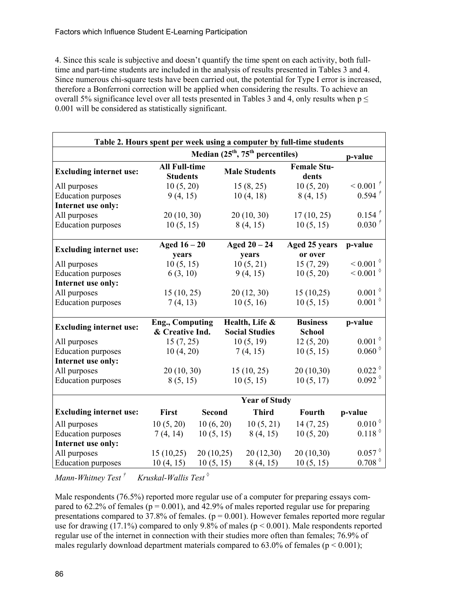4. Since this scale is subjective and doesn't quantify the time spent on each activity, both fulltime and part-time students are included in the analysis of results presented in Tables 3 and 4. Since numerous chi-square tests have been carried out, the potential for Type I error is increased, therefore a Bonferroni correction will be applied when considering the results. To achieve an overall 5% significance level over all tests presented in Tables 3 and 4, only results when  $p \leq$ 0.001 will be considered as statistically significant.

| Table 2. Hours spent per week using a computer by full-time students |                                              |                       |                      |                 |                             |                                            |  |  |
|----------------------------------------------------------------------|----------------------------------------------|-----------------------|----------------------|-----------------|-----------------------------|--------------------------------------------|--|--|
|                                                                      | Median $(25th, 75th$ percentiles)<br>p-value |                       |                      |                 |                             |                                            |  |  |
| <b>Excluding internet use:</b>                                       | <b>All Full-time</b><br><b>Students</b>      |                       | <b>Male Students</b> |                 | <b>Female Stu-</b><br>dents |                                            |  |  |
| All purposes                                                         | 10(5, 20)                                    |                       |                      | 15(8, 25)       | 10(5, 20)                   | $0.001$ <sup>†</sup>                       |  |  |
| <b>Education</b> purposes                                            | 9(4, 15)                                     |                       |                      | 10(4, 18)       | 8(4, 15)                    | $0.594 \tup$                               |  |  |
| Internet use only:                                                   |                                              |                       |                      |                 |                             |                                            |  |  |
| All purposes                                                         | 20(10, 30)                                   |                       |                      | 20(10, 30)      | 17(10, 25)                  | $0.154$ $^{\dagger}$                       |  |  |
| <b>Education purposes</b>                                            | 10(5, 15)                                    |                       |                      | 8(4, 15)        | 10(5, 15)                   | $0.030^{\text{t}}$                         |  |  |
| <b>Excluding internet use:</b>                                       | Aged $16-20$                                 |                       |                      | Aged $20 - 24$  | Aged 25 years               | p-value                                    |  |  |
|                                                                      | years                                        |                       |                      | years           | or over                     |                                            |  |  |
| All purposes                                                         | 10(5, 15)                                    |                       |                      | 10(5, 21)       | 15(7, 29)                   | $< 0.001$ <sup><math>\diamond</math></sup> |  |  |
| <b>Education</b> purposes                                            | 6(3, 10)                                     |                       | 9(4, 15)             |                 | 10(5, 20)                   | $\leq 0.001^{\circ}$                       |  |  |
| Internet use only:                                                   |                                              |                       |                      |                 |                             |                                            |  |  |
| All purposes                                                         | 15(10, 25)                                   |                       | 20(12, 30)           |                 | 15(10,25)                   | $0.001^{\circ}$                            |  |  |
| <b>Education</b> purposes                                            | 7(4, 13)                                     |                       | 10(5, 16)            |                 | 10(5, 15)                   | $0.001^{\circ}$                            |  |  |
| <b>Excluding internet use:</b>                                       | Health, Life &<br><b>Eng., Computing</b>     |                       |                      | <b>Business</b> | p-value                     |                                            |  |  |
|                                                                      | & Creative Ind.                              | <b>Social Studies</b> |                      | <b>School</b>   |                             |                                            |  |  |
| All purposes                                                         | 15(7, 25)                                    |                       |                      | 10(5, 19)       | 12(5, 20)                   | $0.001$ $^{\lozenge}$                      |  |  |
| <b>Education</b> purposes                                            | 10(4, 20)                                    |                       |                      | 7(4, 15)        | 10(5, 15)                   | $0.060^{\circ}$                            |  |  |
| Internet use only:                                                   |                                              |                       |                      |                 |                             |                                            |  |  |
| All purposes                                                         | 20(10, 30)                                   |                       |                      | 15(10, 25)      | 20(10,30)                   | $0.022^{\circ}$                            |  |  |
| <b>Education</b> purposes                                            | 8(5, 15)                                     |                       | 10(5, 15)            |                 | 10(5, 17)                   | $0.092^{\circ}$                            |  |  |
|                                                                      | <b>Year of Study</b>                         |                       |                      |                 |                             |                                            |  |  |
| <b>Excluding internet use:</b>                                       | <b>First</b>                                 | <b>Second</b>         |                      | <b>Third</b>    | Fourth                      | p-value                                    |  |  |
| All purposes                                                         | 10(5, 20)                                    | 10(6, 20)             |                      | 10(5, 21)       | 14(7, 25)                   | $0.010^{\circ}$                            |  |  |
| <b>Education</b> purposes                                            | 7(4, 14)                                     | 10(5, 15)             |                      | 8(4, 15)        | 10(5, 20)                   | $0.118^{\circ}$                            |  |  |
| Internet use only:                                                   |                                              |                       |                      |                 |                             |                                            |  |  |
| All purposes                                                         | 15(10,25)                                    | 20(10,25)             |                      | 20(12,30)       | 20(10,30)                   | $0.057^{\circ}$                            |  |  |
| <b>Education</b> purposes                                            | 10(4, 15)                                    | 10(5, 15)<br>8(4, 15) |                      | 10(5, 15)       | $0.708^{\circ}$             |                                            |  |  |

*Mann-Whitney Test † Kruskal-Wallis Test ◊*

Male respondents (76.5%) reported more regular use of a computer for preparing essays compared to  $62.2\%$  of females ( $p = 0.001$ ), and  $42.9\%$  of males reported regular use for preparing presentations compared to 37.8% of females. ( $p = 0.001$ ). However females reported more regular use for drawing (17.1%) compared to only 9.8% of males (p < 0.001). Male respondents reported regular use of the internet in connection with their studies more often than females; 76.9% of males regularly download department materials compared to  $63.0\%$  of females ( $p < 0.001$ );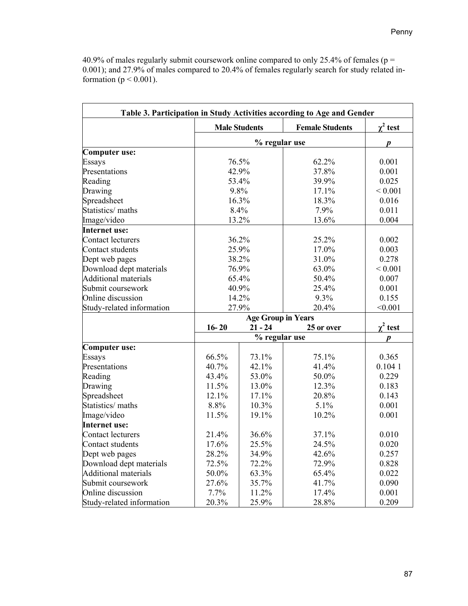40.9% of males regularly submit coursework online compared to only 25.4% of females ( $p =$ 0.001); and 27.9% of males compared to 20.4% of females regularly search for study related information ( $p < 0.001$ ).

|                             |           |                           | Table 3. Participation in Study Activities according to Age and Gender |                 |  |  |
|-----------------------------|-----------|---------------------------|------------------------------------------------------------------------|-----------------|--|--|
|                             |           | <b>Male Students</b>      | <b>Female Students</b>                                                 | $\gamma^2$ test |  |  |
|                             |           | % regular use             |                                                                        | p               |  |  |
| Computer use:               |           |                           |                                                                        |                 |  |  |
| Essays                      |           | 76.5%                     | 62.2%                                                                  | 0.001           |  |  |
| Presentations               |           | 42.9%                     | 37.8%                                                                  | 0.001           |  |  |
| Reading                     |           | 53.4%                     | 39.9%                                                                  | 0.025           |  |  |
| Drawing                     |           | 9.8%                      | 17.1%                                                                  | ${}< 0.001$     |  |  |
| Spreadsheet                 |           | 16.3%                     | 18.3%                                                                  | 0.016           |  |  |
| Statistics/ maths           |           | 8.4%                      | 7.9%                                                                   | 0.011           |  |  |
| Image/video                 |           | 13.2%                     | 13.6%                                                                  | 0.004           |  |  |
| Internet use:               |           |                           |                                                                        |                 |  |  |
| Contact lecturers           |           | 36.2%                     | 25.2%                                                                  | 0.002           |  |  |
| Contact students            |           | 25.9%                     | 17.0%                                                                  | 0.003           |  |  |
| Dept web pages              |           | 38.2%                     | 31.0%                                                                  | 0.278           |  |  |
| Download dept materials     |           | 76.9%                     | 63.0%                                                                  | ${}< 0.001$     |  |  |
| <b>Additional materials</b> |           | 65.4%                     | 50.4%                                                                  | 0.007           |  |  |
| Submit coursework           |           | 40.9%                     | 25.4%                                                                  | 0.001           |  |  |
| Online discussion           |           | 14.2%                     | 9.3%                                                                   | 0.155           |  |  |
| Study-related information   |           | 27.9%                     | 20.4%                                                                  | < 0.001         |  |  |
|                             |           | <b>Age Group in Years</b> |                                                                        |                 |  |  |
|                             | $16 - 20$ | $21 - 24$<br>25 or over   |                                                                        | $\chi^2$ test   |  |  |
|                             |           | % regular use             |                                                                        |                 |  |  |
| <b>Computer use:</b>        |           |                           |                                                                        |                 |  |  |
| Essays                      | 66.5%     | 73.1%                     | 75.1%                                                                  | 0.365           |  |  |
| Presentations               | 40.7%     | 42.1%                     | 41.4%                                                                  | 0.1041          |  |  |
| Reading                     | 43.4%     | 53.0%                     | 50.0%                                                                  | 0.229           |  |  |
| Drawing                     | 11.5%     | 13.0%                     | 12.3%                                                                  | 0.183           |  |  |
| Spreadsheet                 | 12.1%     | 17.1%                     | 20.8%                                                                  | 0.143           |  |  |
| Statistics/maths            | 8.8%      | 10.3%                     | 5.1%                                                                   | 0.001           |  |  |
| Image/video                 | 11.5%     | 19.1%                     | 10.2%                                                                  | 0.001           |  |  |
| Internet use:               |           |                           |                                                                        |                 |  |  |
| Contact lecturers           | 21.4%     | 36.6%                     | 37.1%                                                                  | 0.010           |  |  |
| Contact students            | 17.6%     | 25.5%                     | 24.5%                                                                  | 0.020           |  |  |
| Dept web pages              | 28.2%     | 34.9%                     | 42.6%                                                                  | 0.257           |  |  |
| Download dept materials     | 72.5%     | 72.2%                     | 72.9%                                                                  | 0.828           |  |  |
| <b>Additional materials</b> | 50.0%     | 63.3%                     | 65.4%                                                                  | 0.022           |  |  |
| Submit coursework           | 27.6%     | 35.7%                     | 41.7%                                                                  | 0.090           |  |  |
| Online discussion           | 7.7%      | 11.2%                     | 17.4%                                                                  | 0.001           |  |  |
| Study-related information   | 20.3%     | 25.9%                     | 28.8%                                                                  | 0.209           |  |  |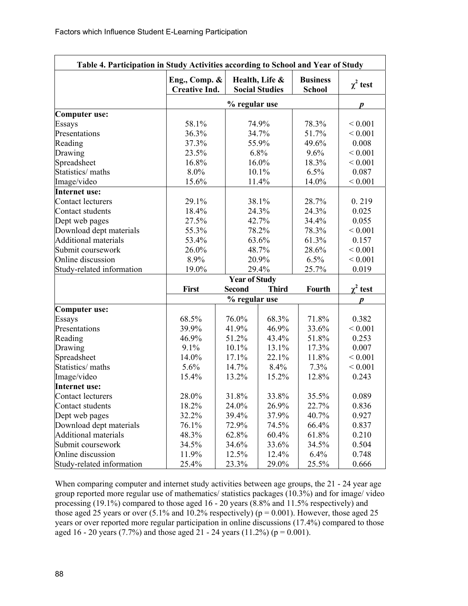| Table 4. Participation in Study Activities according to School and Year of Study |                                       |                  |                                         |                                  |                  |  |  |
|----------------------------------------------------------------------------------|---------------------------------------|------------------|-----------------------------------------|----------------------------------|------------------|--|--|
|                                                                                  | Eng., Comp. &<br><b>Creative Ind.</b> |                  | Health, Life &<br><b>Social Studies</b> | <b>Business</b><br><b>School</b> | $\chi^2$ test    |  |  |
|                                                                                  |                                       | % regular use    |                                         |                                  | $\boldsymbol{p}$ |  |  |
| Computer use:                                                                    |                                       |                  |                                         |                                  |                  |  |  |
| Essays                                                                           | 58.1%                                 |                  | 74.9%                                   | 78.3%                            | ${}_{0.001}$     |  |  |
| Presentations                                                                    | 36.3%                                 |                  | 34.7%                                   | 51.7%                            | ${}< 0.001$      |  |  |
| Reading                                                                          | 37.3%                                 |                  | 55.9%                                   | 49.6%                            | 0.008            |  |  |
| Drawing                                                                          | 23.5%                                 |                  | 6.8%                                    | 9.6%                             | ${}< 0.001$      |  |  |
| Spreadsheet                                                                      | 16.8%                                 |                  | 16.0%                                   | 18.3%                            | ${}< 0.001$      |  |  |
| Statistics/ maths                                                                | 8.0%                                  |                  | 10.1%                                   | 6.5%                             | 0.087            |  |  |
| Image/video                                                                      | 15.6%                                 |                  | 11.4%                                   | 14.0%                            | ${}< 0.001$      |  |  |
| Internet use:                                                                    |                                       |                  |                                         |                                  |                  |  |  |
| Contact lecturers                                                                | 29.1%                                 |                  | 38.1%                                   | 28.7%                            | 0.219            |  |  |
| Contact students                                                                 | 18.4%                                 |                  | 24.3%                                   | 24.3%                            | 0.025            |  |  |
| Dept web pages                                                                   | 27.5%                                 |                  | 42.7%                                   | 34.4%                            | 0.055            |  |  |
| Download dept materials                                                          | 55.3%                                 |                  | 78.2%                                   | 78.3%                            | ${}< 0.001$      |  |  |
| <b>Additional materials</b>                                                      | 53.4%                                 |                  | 63.6%                                   |                                  | 0.157            |  |  |
| Submit coursework                                                                | 26.0%                                 |                  | 48.7%                                   |                                  | ${}_{0.001}$     |  |  |
| Online discussion                                                                | 8.9%                                  |                  | 20.9%                                   |                                  | < 0.001          |  |  |
| Study-related information                                                        | 19.0%                                 |                  | 29.4%                                   |                                  | 0.019            |  |  |
|                                                                                  | 25.7%<br><b>Year of Study</b>         |                  |                                         |                                  |                  |  |  |
|                                                                                  | First                                 | <b>Second</b>    | <b>Third</b>                            | Fourth                           | $\chi^2$ test    |  |  |
|                                                                                  |                                       | $\boldsymbol{p}$ |                                         |                                  |                  |  |  |
| <b>Computer use:</b>                                                             |                                       |                  |                                         |                                  |                  |  |  |
| Essays                                                                           | 68.5%                                 | 76.0%            | 68.3%                                   | 71.8%                            | 0.382            |  |  |
| Presentations                                                                    | 39.9%                                 | 41.9%            | 46.9%                                   | 33.6%                            | ${}< 0.001$      |  |  |
| Reading                                                                          | 46.9%                                 | 51.2%            | 43.4%                                   | 51.8%                            | 0.253            |  |  |
| Drawing                                                                          | 9.1%                                  | 10.1%            | 13.1%                                   | 17.3%                            | 0.007            |  |  |
| Spreadsheet                                                                      | 14.0%                                 | 17.1%            | 22.1%                                   | 11.8%                            | ${}< 0.001$      |  |  |
| Statistics/ maths                                                                | 5.6%                                  | 14.7%            | 8.4%                                    | 7.3%                             | ${}< 0.001$      |  |  |
| Image/video                                                                      | 15.4%                                 | 13.2%            | 15.2%                                   | 12.8%                            | 0.243            |  |  |
| Internet use:                                                                    |                                       |                  |                                         |                                  |                  |  |  |
| Contact lecturers                                                                | 28.0%                                 | 31.8%            | 33.8%                                   | 35.5%                            | 0.089            |  |  |
| Contact students                                                                 | 18.2%                                 | 24.0%            | 26.9%                                   | 22.7%                            | 0.836            |  |  |
| Dept web pages                                                                   | 32.2%                                 | 39.4%            | 37.9%                                   | 40.7%                            | 0.927            |  |  |
| Download dept materials                                                          | 76.1%                                 | 72.9%            | 74.5%                                   | 66.4%                            | 0.837            |  |  |
| <b>Additional materials</b>                                                      | 48.3%                                 | 62.8%            | 60.4%                                   | 61.8%                            | 0.210            |  |  |
| Submit coursework                                                                | 34.5%                                 | 34.6%            | 33.6%                                   | 34.5%                            | 0.504            |  |  |
| Online discussion                                                                | 11.9%                                 | 12.5%            | 12.4%                                   | 6.4%                             | 0.748            |  |  |
| Study-related information                                                        | 25.4%                                 | 23.3%            | 29.0%                                   | 25.5%                            | 0.666            |  |  |

When comparing computer and internet study activities between age groups, the 21 - 24 year age group reported more regular use of mathematics/ statistics packages (10.3%) and for image/ video processing (19.1%) compared to those aged 16 - 20 years (8.8% and 11.5% respectively) and those aged 25 years or over  $(5.1\%$  and 10.2% respectively) ( $p = 0.001$ ). However, those aged 25 years or over reported more regular participation in online discussions (17.4%) compared to those aged 16 - 20 years (7.7%) and those aged  $21$  - 24 years (11.2%) ( $p = 0.001$ ).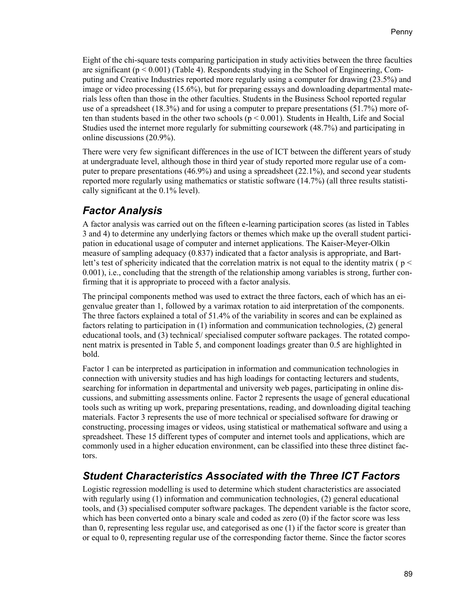Eight of the chi-square tests comparing participation in study activities between the three faculties are significant ( $p < 0.001$ ) (Table 4). Respondents studying in the School of Engineering, Computing and Creative Industries reported more regularly using a computer for drawing (23.5%) and image or video processing (15.6%), but for preparing essays and downloading departmental materials less often than those in the other faculties. Students in the Business School reported regular use of a spreadsheet (18.3%) and for using a computer to prepare presentations (51.7%) more often than students based in the other two schools ( $p < 0.001$ ). Students in Health, Life and Social Studies used the internet more regularly for submitting coursework (48.7%) and participating in online discussions (20.9%).

There were very few significant differences in the use of ICT between the different years of study at undergraduate level, although those in third year of study reported more regular use of a computer to prepare presentations (46.9%) and using a spreadsheet (22.1%), and second year students reported more regularly using mathematics or statistic software (14.7%) (all three results statistically significant at the 0.1% level).

### *Factor Analysis*

A factor analysis was carried out on the fifteen e-learning participation scores (as listed in Tables 3 and 4) to determine any underlying factors or themes which make up the overall student participation in educational usage of computer and internet applications. The Kaiser-Meyer-Olkin measure of sampling adequacy (0.837) indicated that a factor analysis is appropriate, and Bartlett's test of sphericity indicated that the correlation matrix is not equal to the identity matrix ( $p <$ 0.001), i.e., concluding that the strength of the relationship among variables is strong, further confirming that it is appropriate to proceed with a factor analysis.

The principal components method was used to extract the three factors, each of which has an eigenvalue greater than 1, followed by a varimax rotation to aid interpretation of the components. The three factors explained a total of 51.4% of the variability in scores and can be explained as factors relating to participation in (1) information and communication technologies, (2) general educational tools, and (3) technical/ specialised computer software packages. The rotated component matrix is presented in Table 5, and component loadings greater than 0.5 are highlighted in bold.

Factor 1 can be interpreted as participation in information and communication technologies in connection with university studies and has high loadings for contacting lecturers and students, searching for information in departmental and university web pages, participating in online discussions, and submitting assessments online. Factor 2 represents the usage of general educational tools such as writing up work, preparing presentations, reading, and downloading digital teaching materials. Factor 3 represents the use of more technical or specialised software for drawing or constructing, processing images or videos, using statistical or mathematical software and using a spreadsheet. These 15 different types of computer and internet tools and applications, which are commonly used in a higher education environment, can be classified into these three distinct factors.

### *Student Characteristics Associated with the Three ICT Factors*

Logistic regression modelling is used to determine which student characteristics are associated with regularly using (1) information and communication technologies, (2) general educational tools, and (3) specialised computer software packages. The dependent variable is the factor score, which has been converted onto a binary scale and coded as zero (0) if the factor score was less than 0, representing less regular use, and categorised as one (1) if the factor score is greater than or equal to 0, representing regular use of the corresponding factor theme. Since the factor scores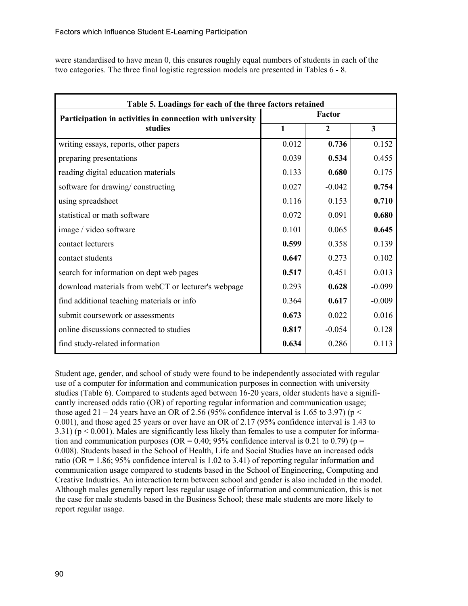were standardised to have mean 0, this ensures roughly equal numbers of students in each of the two categories. The three final logistic regression models are presented in Tables 6 - 8.

| Table 5. Loadings for each of the three factors retained  |       |              |          |  |  |  |
|-----------------------------------------------------------|-------|--------------|----------|--|--|--|
| Participation in activities in connection with university |       | Factor       |          |  |  |  |
| studies                                                   | 1     | $\mathbf{2}$ | 3        |  |  |  |
| writing essays, reports, other papers                     | 0.012 | 0.736        | 0.152    |  |  |  |
| preparing presentations                                   | 0.039 | 0.534        | 0.455    |  |  |  |
| reading digital education materials                       | 0.133 | 0.680        | 0.175    |  |  |  |
| software for drawing/constructing                         | 0.027 | $-0.042$     | 0.754    |  |  |  |
| using spreadsheet                                         | 0.116 | 0.153        | 0.710    |  |  |  |
| statistical or math software                              | 0.072 | 0.091        | 0.680    |  |  |  |
| image / video software                                    | 0.101 | 0.065        | 0.645    |  |  |  |
| contact lecturers                                         | 0.599 | 0.358        | 0.139    |  |  |  |
| contact students                                          | 0.647 | 0.273        | 0.102    |  |  |  |
| search for information on dept web pages                  | 0.517 | 0.451        | 0.013    |  |  |  |
| download materials from webCT or lecturer's webpage       | 0.293 | 0.628        | $-0.099$ |  |  |  |
| find additional teaching materials or info                | 0.364 | 0.617        | $-0.009$ |  |  |  |
| submit coursework or assessments                          | 0.673 | 0.022        | 0.016    |  |  |  |
| online discussions connected to studies                   | 0.817 | $-0.054$     | 0.128    |  |  |  |
| find study-related information                            | 0.634 | 0.286        | 0.113    |  |  |  |

Student age, gender, and school of study were found to be independently associated with regular use of a computer for information and communication purposes in connection with university studies (Table 6). Compared to students aged between 16-20 years, older students have a significantly increased odds ratio (OR) of reporting regular information and communication usage; those aged 21 – 24 years have an OR of 2.56 (95% confidence interval is 1.65 to 3.97) ( $p <$ 0.001), and those aged 25 years or over have an OR of 2.17 (95% confidence interval is 1.43 to 3.31) ( $p < 0.001$ ). Males are significantly less likely than females to use a computer for information and communication purposes (OR =  $0.40$ ; 95% confidence interval is 0.21 to 0.79) (p = 0.008). Students based in the School of Health, Life and Social Studies have an increased odds ratio (OR =  $1.86$ ; 95% confidence interval is 1.02 to 3.41) of reporting regular information and communication usage compared to students based in the School of Engineering, Computing and Creative Industries. An interaction term between school and gender is also included in the model. Although males generally report less regular usage of information and communication, this is not the case for male students based in the Business School; these male students are more likely to report regular usage.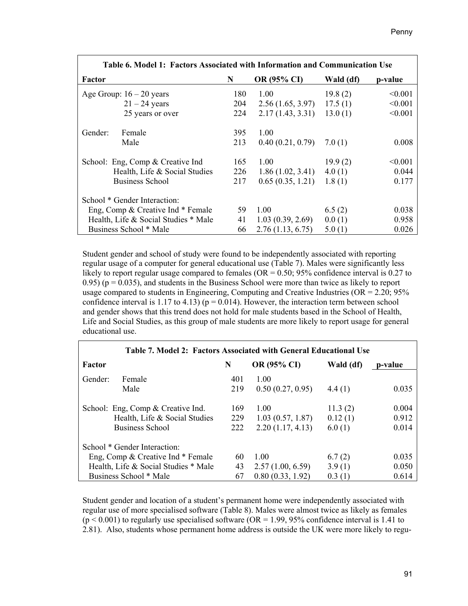| Table 6. Model 1: Factors Associated with Information and Communication Use |     |                    |           |         |  |  |  |
|-----------------------------------------------------------------------------|-----|--------------------|-----------|---------|--|--|--|
| Factor                                                                      | N   | <b>OR (95% CI)</b> | Wald (df) | p-value |  |  |  |
| Age Group: $16 - 20$ years                                                  | 180 | 1.00               | 19.8(2)   | < 0.001 |  |  |  |
| $21 - 24$ years                                                             | 204 | 2.56(1.65, 3.97)   | 17.5(1)   | < 0.001 |  |  |  |
| 25 years or over                                                            | 224 | 2.17(1.43, 3.31)   | 13.0(1)   | < 0.001 |  |  |  |
| Female<br>Gender:                                                           | 395 | 1.00               |           |         |  |  |  |
| Male                                                                        | 213 | 0.40(0.21, 0.79)   | 7.0(1)    | 0.008   |  |  |  |
| School: Eng, Comp & Creative Ind                                            | 165 | 1.00               | 19.9(2)   | < 0.001 |  |  |  |
| Health, Life & Social Studies                                               | 226 | 1.86(1.02, 3.41)   | 4.0(1)    | 0.044   |  |  |  |
| <b>Business School</b>                                                      | 217 | 0.65(0.35, 1.21)   | 1.8(1)    | 0.177   |  |  |  |
| School * Gender Interaction:                                                |     |                    |           |         |  |  |  |
| Eng, Comp & Creative Ind * Female                                           | 59  | 1.00               | 6.5(2)    | 0.038   |  |  |  |
| Health, Life & Social Studies * Male                                        | 41  | 1.03(0.39, 2.69)   | 0.0(1)    | 0.958   |  |  |  |
| Business School * Male                                                      | 66  | 2.76(1.13, 6.75)   | 5.0(1)    | 0.026   |  |  |  |

Student gender and school of study were found to be independently associated with reporting regular usage of a computer for general educational use (Table 7). Males were significantly less likely to report regular usage compared to females ( $OR = 0.50$ ;  $95\%$  confidence interval is 0.27 to  $(0.95)$  ( $p = 0.035$ ), and students in the Business School were more than twice as likely to report usage compared to students in Engineering, Computing and Creative Industries ( $OR = 2.20$ ;  $95\%$ ) confidence interval is 1.17 to 4.13) ( $p = 0.014$ ). However, the interaction term between school and gender shows that this trend does not hold for male students based in the School of Health, Life and Social Studies, as this group of male students are more likely to report usage for general educational use.

| Table 7. Model 2: Factors Associated with General Educational Use |                                      |     |                    |           |         |  |  |
|-------------------------------------------------------------------|--------------------------------------|-----|--------------------|-----------|---------|--|--|
| Factor                                                            |                                      | N   | <b>OR (95% CI)</b> | Wald (df) | p-value |  |  |
| Gender:                                                           | Female                               | 401 | 1.00               |           |         |  |  |
|                                                                   | Male                                 | 219 | 0.50(0.27, 0.95)   | 4.4(1)    | 0.035   |  |  |
|                                                                   | School: Eng, Comp & Creative Ind.    | 169 | 1.00               | 11.3(2)   | 0.004   |  |  |
|                                                                   | Health, Life & Social Studies        | 229 | 1.03(0.57, 1.87)   | 0.12(1)   | 0.912   |  |  |
|                                                                   | <b>Business School</b>               | 222 | 2.20(1.17, 4.13)   | 6.0(1)    | 0.014   |  |  |
|                                                                   | School * Gender Interaction:         |     |                    |           |         |  |  |
|                                                                   | Eng, Comp & Creative Ind * Female    | 60  | 1.00               | 6.7(2)    | 0.035   |  |  |
|                                                                   | Health, Life & Social Studies * Male | 43  | 2.57(1.00, 6.59)   | 3.9(1)    | 0.050   |  |  |
|                                                                   | Business School * Male               | 67  | 0.80(0.33, 1.92)   | 0.3(1)    | 0.614   |  |  |

Student gender and location of a student's permanent home were independently associated with regular use of more specialised software (Table 8). Males were almost twice as likely as females  $(p < 0.001)$  to regularly use specialised software (OR = 1.99, 95% confidence interval is 1.41 to 2.81). Also, students whose permanent home address is outside the UK were more likely to regu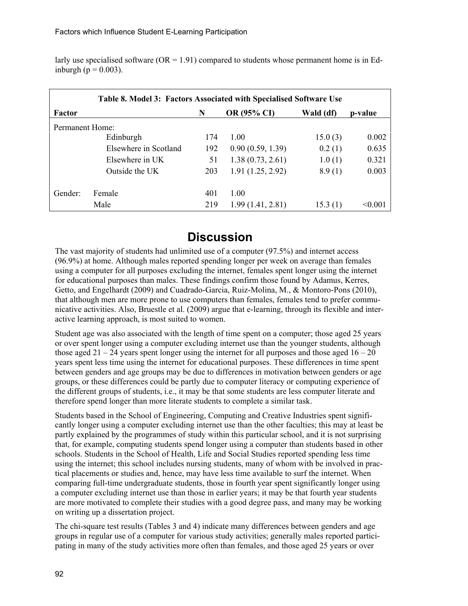larly use specialised software ( $OR = 1.91$ ) compared to students whose permanent home is in Edinburgh ( $p = 0.003$ ).

| Table 8. Model 3: Factors Associated with Specialised Software Use |                       |     |                  |           |         |  |  |
|--------------------------------------------------------------------|-----------------------|-----|------------------|-----------|---------|--|--|
| Factor                                                             |                       | N   | OR (95% CI)      | Wald (df) | p-value |  |  |
| Permanent Home:                                                    |                       |     |                  |           |         |  |  |
|                                                                    | Edinburgh             | 174 | 1.00             | 15.0(3)   | 0.002   |  |  |
|                                                                    | Elsewhere in Scotland | 192 | 0.90(0.59, 1.39) | 0.2(1)    | 0.635   |  |  |
|                                                                    | Elsewhere in UK       | 51  | 1.38(0.73, 2.61) | 1.0(1)    | 0.321   |  |  |
|                                                                    | Outside the UK        | 203 | 1.91(1.25, 2.92) | 8.9(1)    | 0.003   |  |  |
|                                                                    |                       |     |                  |           |         |  |  |
| Gender:                                                            | Female                | 401 | 1.00             |           |         |  |  |
|                                                                    | Male                  | 219 | 1.99(1.41, 2.81) | 15.3(1)   | < 0.001 |  |  |

# **Discussion**

The vast majority of students had unlimited use of a computer (97.5%) and internet access (96.9%) at home. Although males reported spending longer per week on average than females using a computer for all purposes excluding the internet, females spent longer using the internet for educational purposes than males. These findings confirm those found by Adamus, Kerres, Getto, and Engelhardt (2009) and Cuadrado-Garcia, Ruiz-Molina, M., & Montoro-Pons (2010), that although men are more prone to use computers than females, females tend to prefer communicative activities. Also, Bruestle et al. (2009) argue that e-learning, through its flexible and interactive learning approach, is most suited to women.

Student age was also associated with the length of time spent on a computer; those aged 25 years or over spent longer using a computer excluding internet use than the younger students, although those aged  $21 - 24$  years spent longer using the internet for all purposes and those aged  $16 - 20$ years spent less time using the internet for educational purposes. These differences in time spent between genders and age groups may be due to differences in motivation between genders or age groups, or these differences could be partly due to computer literacy or computing experience of the different groups of students, i.e., it may be that some students are less computer literate and therefore spend longer than more literate students to complete a similar task.

Students based in the School of Engineering, Computing and Creative Industries spent significantly longer using a computer excluding internet use than the other faculties; this may at least be partly explained by the programmes of study within this particular school, and it is not surprising that, for example, computing students spend longer using a computer than students based in other schools. Students in the School of Health, Life and Social Studies reported spending less time using the internet; this school includes nursing students, many of whom with be involved in practical placements or studies and, hence, may have less time available to surf the internet. When comparing full-time undergraduate students, those in fourth year spent significantly longer using a computer excluding internet use than those in earlier years; it may be that fourth year students are more motivated to complete their studies with a good degree pass, and many may be working on writing up a dissertation project.

The chi-square test results (Tables 3 and 4) indicate many differences between genders and age groups in regular use of a computer for various study activities; generally males reported participating in many of the study activities more often than females, and those aged 25 years or over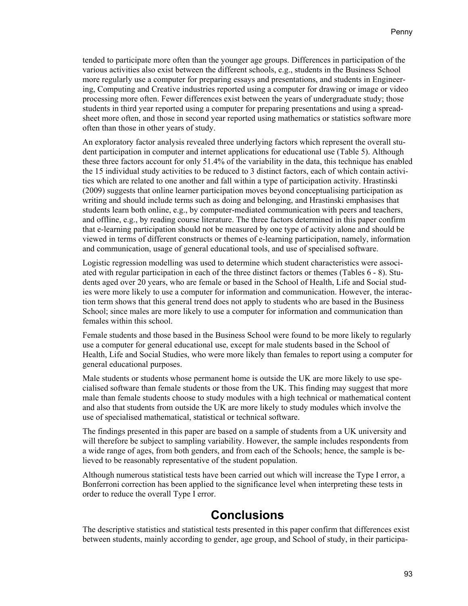tended to participate more often than the younger age groups. Differences in participation of the various activities also exist between the different schools, e.g., students in the Business School more regularly use a computer for preparing essays and presentations, and students in Engineering, Computing and Creative industries reported using a computer for drawing or image or video processing more often. Fewer differences exist between the years of undergraduate study; those students in third year reported using a computer for preparing presentations and using a spreadsheet more often, and those in second year reported using mathematics or statistics software more often than those in other years of study.

An exploratory factor analysis revealed three underlying factors which represent the overall student participation in computer and internet applications for educational use (Table 5). Although these three factors account for only 51.4% of the variability in the data, this technique has enabled the 15 individual study activities to be reduced to 3 distinct factors, each of which contain activities which are related to one another and fall within a type of participation activity. Hrastinski (2009) suggests that online learner participation moves beyond conceptualising participation as writing and should include terms such as doing and belonging, and Hrastinski emphasises that students learn both online, e.g., by computer-mediated communication with peers and teachers, and offline, e.g., by reading course literature. The three factors determined in this paper confirm that e-learning participation should not be measured by one type of activity alone and should be viewed in terms of different constructs or themes of e-learning participation, namely, information and communication, usage of general educational tools, and use of specialised software.

Logistic regression modelling was used to determine which student characteristics were associated with regular participation in each of the three distinct factors or themes (Tables 6 - 8). Students aged over 20 years, who are female or based in the School of Health, Life and Social studies were more likely to use a computer for information and communication. However, the interaction term shows that this general trend does not apply to students who are based in the Business School; since males are more likely to use a computer for information and communication than females within this school.

Female students and those based in the Business School were found to be more likely to regularly use a computer for general educational use, except for male students based in the School of Health, Life and Social Studies, who were more likely than females to report using a computer for general educational purposes.

Male students or students whose permanent home is outside the UK are more likely to use specialised software than female students or those from the UK. This finding may suggest that more male than female students choose to study modules with a high technical or mathematical content and also that students from outside the UK are more likely to study modules which involve the use of specialised mathematical, statistical or technical software.

The findings presented in this paper are based on a sample of students from a UK university and will therefore be subject to sampling variability. However, the sample includes respondents from a wide range of ages, from both genders, and from each of the Schools; hence, the sample is believed to be reasonably representative of the student population.

Although numerous statistical tests have been carried out which will increase the Type I error, a Bonferroni correction has been applied to the significance level when interpreting these tests in order to reduce the overall Type I error.

### **Conclusions**

The descriptive statistics and statistical tests presented in this paper confirm that differences exist between students, mainly according to gender, age group, and School of study, in their participa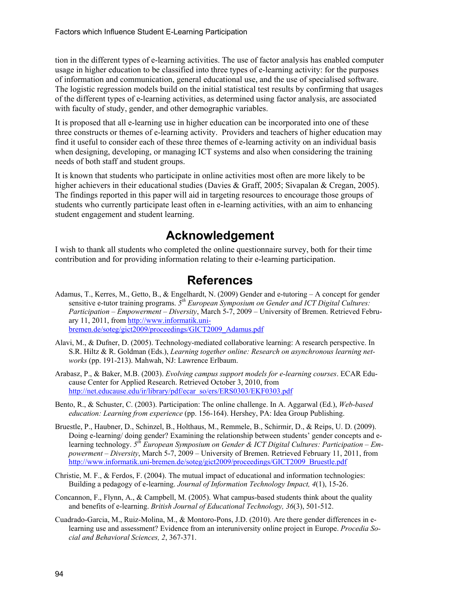tion in the different types of e-learning activities. The use of factor analysis has enabled computer usage in higher education to be classified into three types of e-learning activity: for the purposes of information and communication, general educational use, and the use of specialised software. The logistic regression models build on the initial statistical test results by confirming that usages of the different types of e-learning activities, as determined using factor analysis, are associated with faculty of study, gender, and other demographic variables.

It is proposed that all e-learning use in higher education can be incorporated into one of these three constructs or themes of e-learning activity. Providers and teachers of higher education may find it useful to consider each of these three themes of e-learning activity on an individual basis when designing, developing, or managing ICT systems and also when considering the training needs of both staff and student groups.

It is known that students who participate in online activities most often are more likely to be higher achievers in their educational studies (Davies & Graff, 2005; Sivapalan & Cregan, 2005). The findings reported in this paper will aid in targeting resources to encourage those groups of students who currently participate least often in e-learning activities, with an aim to enhancing student engagement and student learning.

### **Acknowledgement**

I wish to thank all students who completed the online questionnaire survey, both for their time contribution and for providing information relating to their e-learning participation.

# **References**

- Adamus, T., Kerres, M., Getto, B., & Engelhardt, N. (2009) Gender and e-tutoring A concept for gender sensitive e-tutor training programs. *5th European Symposium on Gender and ICT Digital Cultures: Participation – Empowerment – Diversity*, March 5-7, 2009 – University of Bremen. Retrieved February 11, 2011, from [http://www.informatik.uni](http://www.informatik.uni-bremen.de/soteg/gict2009/proceedings/GICT2009_Adamus.pdf)[bremen.de/soteg/gict2009/proceedings/GICT2009\\_Adamus.pdf](http://www.informatik.uni-bremen.de/soteg/gict2009/proceedings/GICT2009_Adamus.pdf)
- Alavi, M., & Dufner, D. (2005). Technology-mediated collaborative learning: A research perspective. In S.R. Hiltz & R. Goldman (Eds.), *Learning together online: Research on asynchronous learning networks* (pp. 191-213). Mahwah, NJ: Lawrence Erlbaum.
- Arabasz, P., & Baker, M.B. (2003). *Evolving campus support models for e-learning courses*. ECAR Educause Center for Applied Research. Retrieved October 3, 2010, from [http://net.educause.edu/ir/library/pdf/ecar\\_so/ers/ERS0303/EKF0303.pdf](http://net.educause.edu/ir/library/pdf/ecar_so/ers/ERS0303/EKF0303.pdf)
- Bento, R., & Schuster, C. (2003). Participation: The online challenge. In A. Aggarwal (Ed.), *Web-based education: Learning from experience* (pp. 156-164). Hershey, PA: Idea Group Publishing.
- Bruestle, P., Haubner, D., Schinzel, B., Holthaus, M., Remmele, B., Schirmir, D., & Reips, U. D. (2009). Doing e-learning/ doing gender? Examining the relationship between students' gender concepts and elearning technology. *5th European Symposium on Gender & ICT Digital Cultures: Participation – Empowerment – Diversity*, March 5-7, 2009 – University of Bremen. Retrieved February 11, 2011, from [http://www.informatik.uni-bremen.de/soteg/gict2009/proceedings/GICT2009\\_Bruestle.pdf](http://www.informatik.uni-bremen.de/soteg/gict2009/proceedings/GICT2009_Bruestle.pdf)
- Christie, M. F., & Ferdos, F. (2004). The mutual impact of educational and information technologies: Building a pedagogy of e-learning. *Journal of Information Technology Impact, 4*(1), 15-26.
- Concannon, F., Flynn, A., & Campbell, M. (2005). What campus-based students think about the quality and benefits of e-learning. *British Journal of Educational Technology, 36*(3), 501-512.
- Cuadrado-Garcia, M., Ruiz-Molina, M., & Montoro-Pons, J.D. (2010). Are there gender differences in elearning use and assessment? Evidence from an interuniversity online project in Europe. *Procedia Social and Behavioral Sciences, 2*, 367-371.